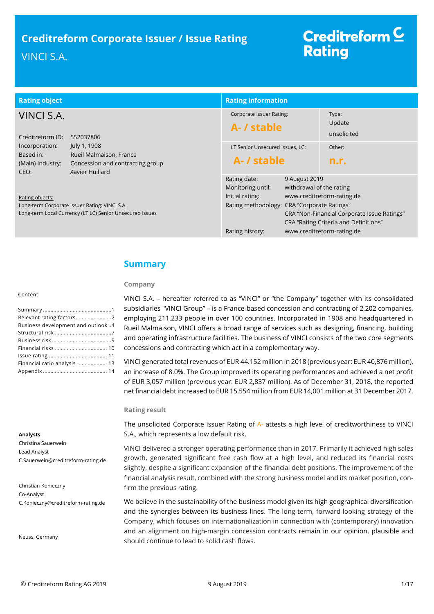| <b>Rating object</b>                                                                                      |                                                                                | <b>Rating information</b>         |                                                                                            |                                       |  |
|-----------------------------------------------------------------------------------------------------------|--------------------------------------------------------------------------------|-----------------------------------|--------------------------------------------------------------------------------------------|---------------------------------------|--|
| VINCI S.A.                                                                                                |                                                                                | <b>Corporate Issuer Rating:</b>   |                                                                                            | Type:<br>Update                       |  |
| Creditreform ID:                                                                                          | 552037806                                                                      | A- / stable                       |                                                                                            | unsolicited                           |  |
| Incorporation:                                                                                            | July 1, 1908                                                                   | LT Senior Unsecured Issues, LC:   |                                                                                            | Other:                                |  |
| Based in:<br>(Main) Industry:<br>CEO:                                                                     | Rueil Malmaison, France<br>Concession and contracting group<br>Xavier Huillard | A- / stable                       |                                                                                            | n.r.                                  |  |
|                                                                                                           |                                                                                | Rating date:<br>Monitoring until: | 9 August 2019<br>withdrawal of the rating                                                  |                                       |  |
| Rating objects:                                                                                           |                                                                                | Initial rating:                   |                                                                                            | www.creditreform-rating.de            |  |
| Long-term Corporate Issuer Rating: VINCI S.A.<br>Long-term Local Currency (LT LC) Senior Unsecured Issues |                                                                                |                                   | Rating methodology: CRA "Corporate Ratings"<br>CRA "Non-Financial Corporate Issue Ratings" |                                       |  |
|                                                                                                           |                                                                                |                                   |                                                                                            | CRA "Rating Criteria and Definitions" |  |
|                                                                                                           |                                                                                | Rating history:                   |                                                                                            | www.creditreform-rating.de            |  |

# <span id="page-0-0"></span>**Summary**

## **Company**

#### Content

| Relevant rating factors2          |
|-----------------------------------|
| Business development and outlook4 |
|                                   |
|                                   |
|                                   |
|                                   |
| Financial ratio analysis  13      |
|                                   |

#### **Analysts**

Christina Sauerwein Lead Analyst C.Sauerwein@creditreform-rating.de

Christian Konieczny Co-Analyst C.Konieczny@creditreform-rating.de

Neuss, Germany

VINCI S.A. – hereafter referred to as "VINCI" or "the Company" together with its consolidated subsidiaries "VINCI Group" – is a France-based concession and contracting of 2,202 companies, employing 211,233 people in over 100 countries. Incorporated in 1908 and headquartered in Rueil Malmaison, VINCI offers a broad range of services such as designing, financing, building and operating infrastructure facilities. The business of VINCI consists of the two core segments concessions and contracting which act in a complementary way.

VINCI generated total revenues of EUR 44.152 million in 2018 (previous year: EUR 40,876 million), an increase of 8.0%. The Group improved its operating performances and achieved a net profit of EUR 3,057 million (previous year: EUR 2,837 million). As of December 31, 2018, the reported net financial debt increased to EUR 15,554 million from EUR 14,001 million at 31 December 2017.

## **Rating result**

The unsolicited Corporate Issuer Rating of A- attests a high level of creditworthiness to VINCI S.A., which represents a low default risk.

VINCI delivered a stronger operating performance than in 2017. Primarily it achieved high sales growth, generated significant free cash flow at a high level, and reduced its financial costs slightly, despite a significant expansion of the financial debt positions. The improvement of the financial analysis result, combined with the strong business model and its market position, confirm the previous rating.

We believe in the sustainability of the business model given its high geographical diversification and the synergies between its business lines. The long-term, forward-looking strategy of the Company, which focuses on internationalization in connection with (contemporary) innovation and an alignment on high-margin concession contracts remain in our opinion, plausible and should continue to lead to solid cash flows.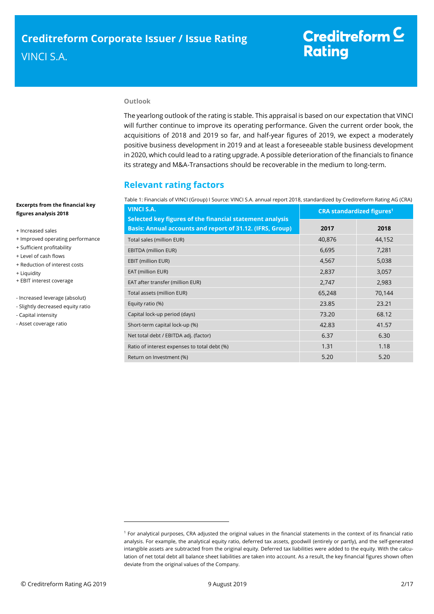## **Outlook**

The yearlong outlook of the rating is stable. This appraisal is based on our expectation that VINCI will further continue to improve its operating performance. Given the current order book, the acquisitions of 2018 and 2019 so far, and half-year figures of 2019, we expect a moderately positive business development in 2019 and at least a foreseeable stable business development in 2020, which could lead to a rating upgrade. A possible deterioration of the financials to finance its strategy and M&A-Transactions should be recoverable in the medium to long-term.

# <span id="page-1-0"></span>**Relevant rating factors**

Table 1: Financials of VINCI (Group) I Source: VINCI S.A. annual report 2018, standardized by Creditreform Rating AG (CRA)

| <b>VINCI S.A.</b>                                                                                                     | <b>CRA standardized figures<sup>1</sup></b> |        |  |  |
|-----------------------------------------------------------------------------------------------------------------------|---------------------------------------------|--------|--|--|
| Selected key figures of the financial statement analysis<br>Basis: Annual accounts and report of 31.12. (IFRS, Group) | 2017                                        | 2018   |  |  |
| Total sales (million EUR)                                                                                             | 40,876                                      | 44,152 |  |  |
| <b>EBITDA (million EUR)</b>                                                                                           | 6,695                                       | 7,281  |  |  |
| EBIT (million EUR)                                                                                                    | 4,567                                       | 5,038  |  |  |
| EAT (million EUR)                                                                                                     | 2,837                                       | 3,057  |  |  |
| EAT after transfer (million EUR)                                                                                      | 2,747                                       | 2,983  |  |  |
| Total assets (million EUR)                                                                                            | 65,248                                      | 70,144 |  |  |
| Equity ratio (%)                                                                                                      | 23.85                                       | 23.21  |  |  |
| Capital lock-up period (days)                                                                                         | 73.20                                       | 68.12  |  |  |
| Short-term capital lock-up (%)                                                                                        | 42.83                                       | 41.57  |  |  |
| Net total debt / EBITDA adj. (factor)                                                                                 | 6.37                                        | 6.30   |  |  |
| Ratio of interest expenses to total debt (%)                                                                          | 1.31                                        | 1.18   |  |  |
| Return on Investment (%)                                                                                              | 5.20                                        | 5.20   |  |  |

## **Excerpts from the financial key figures analysis 2018**

- + Increased sales
- + Improved operating performance
- + Sufficient profitability
- + Level of cash flows
- + Reduction of interest costs
- + Liquidity
- + EBIT interest coverage
- Increased leverage (absolut)
- Slightly decreased equity ratio
- Capital intensity
- Asset coverage ratio

<sup>1</sup> For analytical purposes, CRA adjusted the original values in the financial statements in the context of its financial ratio analysis. For example, the analytical equity ratio, deferred tax assets, goodwill (entirely or partly), and the self-generated intangible assets are subtracted from the original equity. Deferred tax liabilities were added to the equity. With the calculation of net total debt all balance sheet liabilities are taken into account. As a result, the key financial figures shown often deviate from the original values of the Company.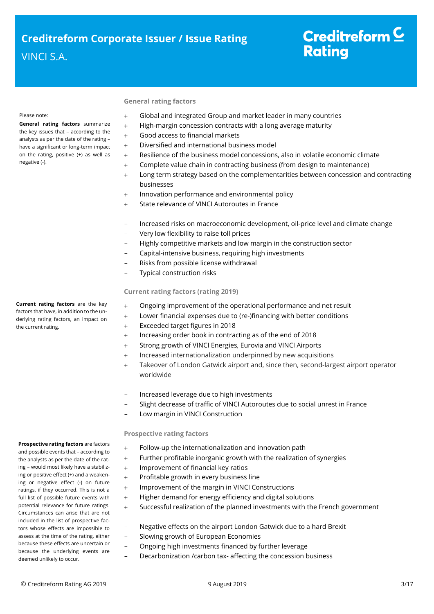#### Please note:

**General rating factors** summarize the key issues that – according to the analysts as per the date of the rating – have a significant or long-term impact on the rating, positive (+) as well as negative (-).

## **General rating factors**

- Global and integrated Group and market leader in many countries
- $+$  High-margin concession contracts with a long average maturity
- Good access to financial markets
- Diversified and international business model
- Resilience of the business model concessions, also in volatile economic climate
- Complete value chain in contracting business (from design to maintenance)
- Long term strategy based on the complementarities between concession and contracting businesses
- Innovation performance and environmental policy
- State relevance of VINCI Autoroutes in France
- Increased risks on macroeconomic development, oil-price level and climate change
- Very low flexibility to raise toll prices
- Highly competitive markets and low margin in the construction sector
- Capital-intensive business, requiring high investments
- Risks from possible license withdrawal
- Typical construction risks

## **Current rating factors (rating 2019)**

- Ongoing improvement of the operational performance and net result
- Lower financial expenses due to (re-)financing with better conditions
- Exceeded target figures in 2018
- $+$  Increasing order book in contracting as of the end of 2018
- Strong growth of VINCI Energies, Eurovia and VINCI Airports
- + Increased internationalization underpinned by new acquisitions
- Takeover of London Gatwick airport and, since then, second-largest airport operator worldwide
- Increased leverage due to high investments
- Slight decrease of traffic of VINCI Autoroutes due to social unrest in France
- Low margin in VINCI Construction

## **Prospective rating factors**

- Follow-up the internationalization and innovation path
- Further profitable inorganic growth with the realization of synergies
	- + Improvement of financial key ratios
	- + Profitable growth in every business line
- + Improvement of the margin in VINCI Constructions
- $+$  Higher demand for energy efficiency and digital solutions
- Successful realization of the planned investments with the French government
- Negative effects on the airport London Gatwick due to a hard Brexit
- Slowing growth of European Economies
- Ongoing high investments financed by further leverage
- Decarbonization /carbon tax- affecting the concession business

**Current rating factors** are the key factors that have, in addition to the underlying rating factors, an impact on the current rating.

## **Prospective rating factors** are factors

and possible events that – according to the analysts as per the date of the rating – would most likely have a stabilizing or positive effect (+) and a weakening or negative effect (-) on future ratings, if they occurred. This is not a full list of possible future events with potential relevance for future ratings. Circumstances can arise that are not included in the list of prospective factors whose effects are impossible to assess at the time of the rating, either because these effects are uncertain or because the underlying events are deemed unlikely to occur.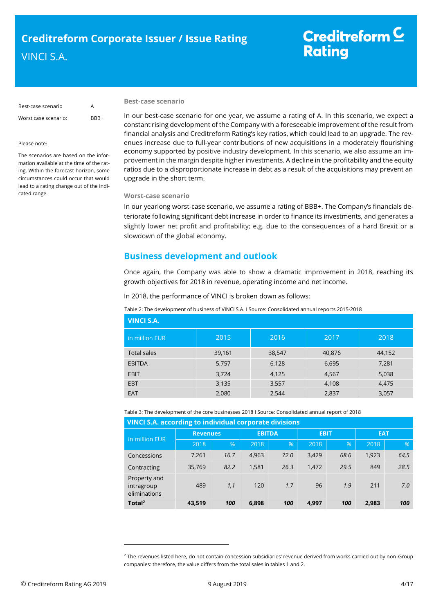| Best-case scenario   | A    |
|----------------------|------|
| Worst case scenario: | RRR+ |

#### Please note:

The scenarios are based on the information available at the time of the rating. Within the forecast horizon, some circumstances could occur that would lead to a rating change out of the indicated range.

#### **Best-case scenario**

In our best-case scenario for one year, we assume a rating of A. In this scenario, we expect a constant rising development of the Company with a foreseeable improvement of the result from financial analysis and Creditreform Rating's key ratios, which could lead to an upgrade. The revenues increase due to full-year contributions of new acquisitions in a moderately flourishing economy supported by positive industry development. In this scenario, we also assume an improvement in the margin despite higher investments*.* A decline in the profitability and the equity ratios due to a disproportionate increase in debt as a result of the acquisitions may prevent an upgrade in the short term.

#### **Worst-case scenario**

In our yearlong worst-case scenario, we assume a rating of BBB+. The Company's financials deteriorate following significant debt increase in order to finance its investments, and generates a slightly lower net profit and profitability; e.g. due to the consequences of a hard Brexit or a slowdown of the global economy.

# <span id="page-3-0"></span>**Business development and outlook**

Once again, the Company was able to show a dramatic improvement in 2018, reaching its growth objectives for 2018 in revenue, operating income and net income.

In 2018, the performance of VINCI is broken down as follows:

Table 2: The development of business of VINCI S.A. I Source: Consolidated annual reports 2015-2018

| VINCI S.A.         |        |        |        |        |  |  |  |  |
|--------------------|--------|--------|--------|--------|--|--|--|--|
| in million EUR     | 2015   | 2016   | 2017   | 2018   |  |  |  |  |
| <b>Total sales</b> | 39,161 | 38,547 | 40,876 | 44,152 |  |  |  |  |
| <b>EBITDA</b>      | 5,757  | 6,128  | 6,695  | 7,281  |  |  |  |  |
| <b>EBIT</b>        | 3,724  | 4,125  | 4,567  | 5,038  |  |  |  |  |
| <b>EBT</b>         | 3,135  | 3,557  | 4,108  | 4,475  |  |  |  |  |
| <b>EAT</b>         | 2,080  | 2,544  | 2,837  | 3,057  |  |  |  |  |

| Table 3: The development of the core businesses 2018 I Source: Consolidated annual report of 2018 |  |  |  |
|---------------------------------------------------------------------------------------------------|--|--|--|
|                                                                                                   |  |  |  |

| VINCI S.A. according to individual corporate divisions |                 |      |               |      |             |      |            |      |
|--------------------------------------------------------|-----------------|------|---------------|------|-------------|------|------------|------|
| in million EUR                                         | <b>Revenues</b> |      | <b>EBITDA</b> |      | <b>EBIT</b> |      | <b>EAT</b> |      |
|                                                        | 2018            | %    | 2018          | %    | 2018        | %    | 2018       | %    |
| Concessions                                            | 7,261           | 16.7 | 4,963         | 72.0 | 3,429       | 68.6 | 1,923      | 64,5 |
| Contracting                                            | 35,769          | 82.2 | 1,581         | 26.3 | 1.472       | 29.5 | 849        | 28.5 |
| Property and<br>intragroup<br>eliminations             | 489             | 1,1  | 120           | 1.7  | 96          | 1.9  | 211        | 7.0  |
| Total <sup>2</sup>                                     | 43,519          | 100  | 6,898         | 100  | 4,997       | 100  | 2,983      | 100  |

 $2$  The revenues listed here, do not contain concession subsidiaries' revenue derived from works carried out by non-Group companies: therefore, the value differs from the total sales in tables 1 and 2.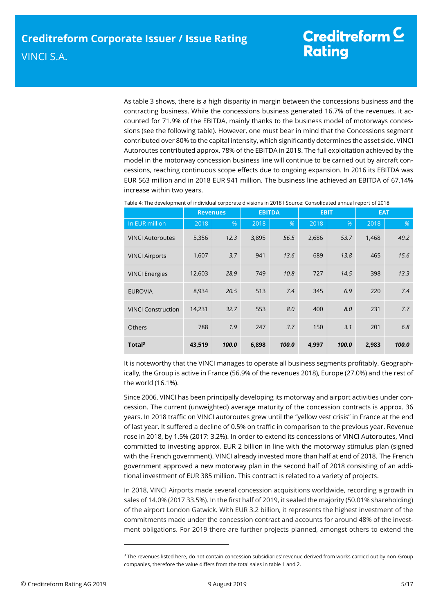As table 3 shows, there is a high disparity in margin between the concessions business and the contracting business. While the concessions business generated 16.7% of the revenues, it accounted for 71.9% of the EBITDA, mainly thanks to the business model of motorways concessions (see the following table). However, one must bear in mind that the Concessions segment contributed over 80% to the capital intensity, which significantly determines the asset side. VINCI Autoroutes contributed approx. 78% of the EBITDA in 2018. The full exploitation achieved by the model in the motorway concession business line will continue to be carried out by aircraft concessions, reaching continuous scope effects due to ongoing expansion. In 2016 its EBITDA was EUR 563 million and in 2018 EUR 941 million. The business line achieved an EBITDA of 67.14% increase within two years.

|                           | <b>Revenues</b> |       | <b>EBITDA</b> |       | <b>EBIT</b> |       | <b>EAT</b> |       |
|---------------------------|-----------------|-------|---------------|-------|-------------|-------|------------|-------|
| In EUR million            | 2018            | %     | 2018          | %     | 2018        | %     | 2018       | %     |
| <b>VINCI Autoroutes</b>   | 5,356           | 12.3  | 3,895         | 56.5  | 2,686       | 53.7  | 1,468      | 49.2  |
| <b>VINCI Airports</b>     | 1,607           | 3.7   | 941           | 13.6  | 689         | 13.8  | 465        | 15.6  |
| <b>VINCI Energies</b>     | 12,603          | 28.9  | 749           | 10.8  | 727         | 14.5  | 398        | 13.3  |
| <b>EUROVIA</b>            | 8,934           | 20.5  | 513           | 7.4   | 345         | 6.9   | 220        | 7.4   |
| <b>VINCI Construction</b> | 14,231          | 32.7  | 553           | 8.0   | 400         | 8.0   | 231        | 7.7   |
| <b>Others</b>             | 788             | 1.9   | 247           | 3.7   | 150         | 3.1   | 201        | 6.8   |
| Total $3$                 | 43,519          | 100.0 | 6,898         | 100.0 | 4,997       | 100.0 | 2,983      | 100.0 |

Table 4: The development of individual corporate divisions in 2018 I Source: Consolidated annual report of 2018

It is noteworthy that the VINCI manages to operate all business segments profitably. Geographically, the Group is active in France (56.9% of the revenues 2018), Europe (27.0%) and the rest of the world (16.1%).

Since 2006, VINCI has been principally developing its motorway and airport activities under concession. The current (unweighted) average maturity of the concession contracts is approx. 36 years. In 2018 traffic on VINCI autoroutes grew until the "yellow vest crisis" in France at the end of last year. It suffered a decline of 0.5% on traffic in comparison to the previous year. Revenue rose in 2018, by 1.5% (2017: 3.2%). In order to extend its concessions of VINCI Autoroutes, Vinci committed to investing approx. EUR 2 billion in line with the motorway stimulus plan (signed with the French government). VINCI already invested more than half at end of 2018. The French government approved a new motorway plan in the second half of 2018 consisting of an additional investment of EUR 385 million. This contract is related to a variety of projects.

In 2018, VINCI Airports made several concession acquisitions worldwide, recording a growth in sales of 14.0% (2017 33.5%). In the first half of 2019, it sealed the majority (50.01% shareholding) of the airport London Gatwick. With EUR 3.2 billion, it represents the highest investment of the commitments made under the concession contract and accounts for around 48% of the investment obligations. For 2019 there are further projects planned, amongst others to extend the

<sup>&</sup>lt;sup>3</sup> The revenues listed here, do not contain concession subsidiaries' revenue derived from works carried out by non-Group companies, therefore the value differs from the total sales in table 1 and 2.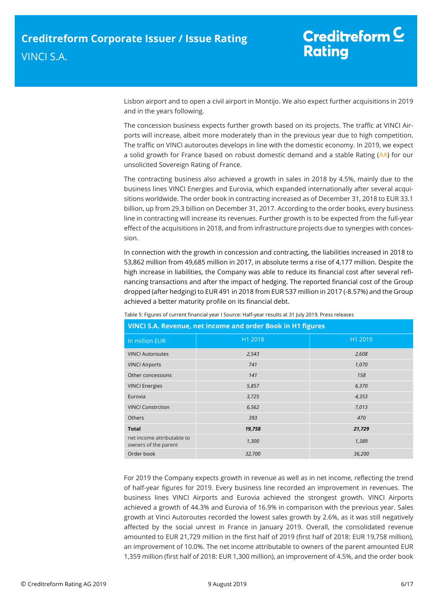Lisbon airport and to open a civil airport in Montijo. We also expect further acquisitions in 2019 and in the years following.

The concession business expects further growth based on its projects. The traffic at VINCI Airports will increase, albeit more moderately than in the previous year due to high competition. The traffic on VINCI autoroutes develops in line with the domestic economy. In 2019, we expect a solid growth for France based on robust domestic demand and a stable Rating (AA) for our unsolicited Sovereign Rating of France.

The contracting business also achieved a growth in sales in 2018 by 4.5%, mainly due to the business lines VINCI Energies and Eurovia, which expanded internationally after several acquisitions worldwide. The order book in contracting increased as of December 31, 2018 to EUR 33.1 billion, up from 29.3 billion on December 31, 2017. According to the order books, every business line in contracting will increase its revenues. Further growth is to be expected from the full-year effect of the acquisitions in 2018, and from infrastructure projects due to synergies with concession.

In connection with the growth in concession and contracting, the liabilities increased in 2018 to 53,862 million from 49,685 million in 2017, in absolute terms a rise of 4,177 million. Despite the high increase in liabilities, the Company was able to reduce its financial cost after several refinancing transactions and after the impact of hedging. The reported financial cost of the Group dropped (after hedging) to EUR 491 in 2018 from EUR 537 million in 2017 (-8.57%) and the Group achieved a better maturity profile on its financial debt.

|                                                    | VINCI S.A. Revenue, net income and order Book in H1 figures |         |  |  |  |  |  |
|----------------------------------------------------|-------------------------------------------------------------|---------|--|--|--|--|--|
| In million EUR                                     | H1 2018                                                     | H1 2019 |  |  |  |  |  |
| <b>VINCI Autoroutes</b>                            | 2,543                                                       | 2,608   |  |  |  |  |  |
| <b>VINCI Airports</b>                              | 741                                                         | 1,070   |  |  |  |  |  |
| Other concessions                                  | 141                                                         | 158     |  |  |  |  |  |
| <b>VINCI Energies</b>                              | 5,857                                                       | 6,370   |  |  |  |  |  |
| Eurovia                                            | 3,725                                                       | 4,353   |  |  |  |  |  |
| <b>VINCI Constrction</b>                           | 6,562                                                       | 7,013   |  |  |  |  |  |
| <b>Others</b>                                      | 393                                                         | 470     |  |  |  |  |  |
| <b>Total</b>                                       | 19,758                                                      | 21,729  |  |  |  |  |  |
| net income attributable to<br>owners of the parent | 1,300                                                       | 1,389   |  |  |  |  |  |
| Order book                                         | 32,700                                                      | 36,200  |  |  |  |  |  |

Table 5: Figures of current financial year I Source: Half-year results at 31 July 2019, Press releases

For 2019 the Company expects growth in revenue as well as in net income, reflecting the trend of half-year figures for 2019. Every business line recorded an improvement in revenues. The business lines VINCI Airports and Eurovia achieved the strongest growth. VINCI Airports achieved a growth of 44.3% and Eurovia of 16.9% in comparison with the previous year. Sales growth at Vinci Autoroutes recorded the lowest sales growth by 2.6%, as it was still negatively affected by the social unrest in France in January 2019. Overall, the consolidated revenue amounted to EUR 21,729 million in the first half of 2019 (first half of 2018: EUR 19,758 million), an improvement of 10.0%. The net income attributable to owners of the parent amounted EUR 1,359 million (first half of 2018: EUR 1,300 million), an improvement of 4.5%, and the order book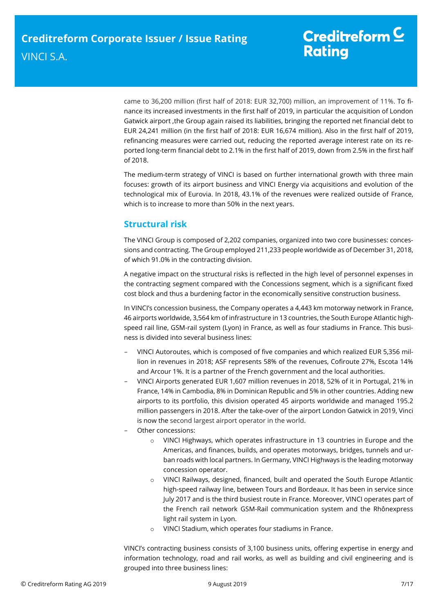came to 36,200 million (first half of 2018: EUR 32,700) million, an improvement of 11%. To finance its increased investments in the first half of 2019, in particular the acquisition of London Gatwick airport ,the Group again raised its liabilities, bringing the reported net financial debt to EUR 24,241 million (in the first half of 2018: EUR 16,674 million). Also in the first half of 2019, refinancing measures were carried out, reducing the reported average interest rate on its reported long-term financial debt to 2.1% in the first half of 2019, down from 2.5% in the first half of 2018.

The medium-term strategy of VINCI is based on further international growth with three main focuses: growth of its airport business and VINCI Energy via acquisitions and evolution of the technological mix of Eurovia. In 2018, 43.1% of the revenues were realized outside of France, which is to increase to more than 50% in the next years.

# <span id="page-6-0"></span>**Structural risk**

The VINCI Group is composed of 2,202 companies, organized into two core businesses: concessions and contracting. The Group employed 211,233 people worldwide as of December 31, 2018, of which 91.0% in the contracting division.

A negative impact on the structural risks is reflected in the high level of personnel expenses in the contracting segment compared with the Concessions segment, which is a significant fixed cost block and thus a burdening factor in the economically sensitive construction business.

In VINCI's concession business, the Company operates a 4,443 km motorway network in France, 46 airports worldwide, 3,564 km of infrastructure in 13 countries, the South Europe Atlantic highspeed rail line, GSM-rail system (Lyon) in France, as well as four stadiums in France. This business is divided into several business lines:

- VINCI Autoroutes, which is composed of five companies and which realized EUR 5,356 million in revenues in 2018; ASF represents 58% of the revenues, Cofiroute 27%, Escota 14% and Arcour 1%. It is a partner of the French government and the local authorities.
- VINCI Airports generated EUR 1,607 million revenues in 2018, 52% of it in Portugal, 21% in France, 14% in Cambodia, 8% in Dominican Republic and 5% in other countries. Adding new airports to its portfolio, this division operated 45 airports worldwide and managed 195.2 million passengers in 2018. After the take-over of the airport London Gatwick in 2019, Vinci is now the second largest airport operator in the world.
- Other concessions:
	- o VINCI Highways, which operates infrastructure in 13 countries in Europe and the Americas, and finances, builds, and operates motorways, bridges, tunnels and urban roads with local partners. In Germany, VINCI Highways is the leading motorway concession operator.
	- o VINCI Railways, designed, financed, built and operated the South Europe Atlantic high-speed railway line, between Tours and Bordeaux. It has been in service since July 2017 and is the third busiest route in France. Moreover, VINCI operates part of the French rail network GSM-Rail communication system and the Rhônexpress light rail system in Lyon.
	- o VINCI Stadium, which operates four stadiums in France.

VINCI's contracting business consists of 3,100 business units, offering expertise in energy and information technology, road and rail works, as well as building and civil engineering and is grouped into three business lines: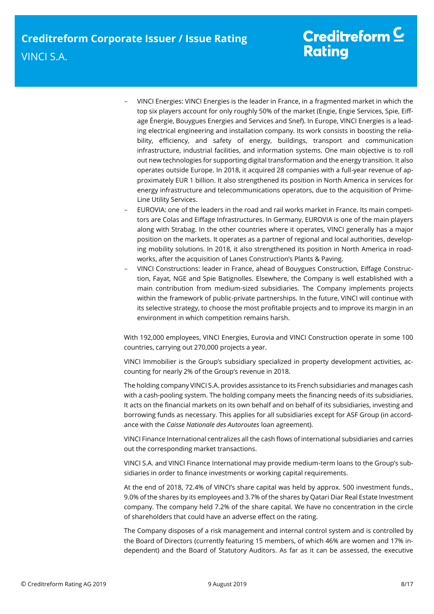# Creditreform  $C$ **Rating**

- VINCI Energies: VINCI Energies is the leader in France, in a fragmented market in which the top six players account for only roughly 50% of the market (Engie, Engie Services, Spie, Eiffage Énergie, Bouygues Energies and Services and Snef). In Europe, VINCI Energies is a leading electrical engineering and installation company. Its work consists in boosting the reliability, efficiency, and safety of energy, buildings, transport and communication infrastructure, industrial facilities, and information systems. One main objective is to roll out new technologies for supporting digital transformation and the energy transition. It also operates outside Europe. In 2018, it acquired 28 companies with a full-year revenue of approximately EUR 1 billion. It also strengthened its position in North America in services for energy infrastructure and telecommunications operators, due to the acquisition of Prime-Line Utility Services.
- EUROVIA: one of the leaders in the road and rail works market in France. Its main competitors are Colas and Eiffage Infrastructures. In Germany, EUROVIA is one of the main players along with Strabag. In the other countries where it operates, VINCI generally has a major position on the markets. It operates as a partner of regional and local authorities, developing mobility solutions. In 2018, it also strengthened its position in North America in roadworks, after the acquisition of Lanes Construction's Plants & Paving.
- VINCI Constructions: leader in France, ahead of Bouygues Construction, Eiffage Construction, Fayat, NGE and Spie Batignolles. Elsewhere, the Company is well established with a main contribution from medium-sized subsidiaries. The Company implements projects within the framework of public-private partnerships. In the future, VINCI will continue with its selective strategy, to choose the most profitable projects and to improve its margin in an environment in which competition remains harsh.

With 192,000 employees, VINCI Energies, Eurovia and VINCI Construction operate in some 100 countries, carrying out 270,000 projects a year.

VINCI Immobilier is the Group's subsidiary specialized in property development activities, accounting for nearly 2% of the Group's revenue in 2018.

The holding company VINCI S.A. provides assistance to its French subsidiaries and manages cash with a cash-pooling system. The holding company meets the financing needs of its subsidiaries. It acts on the financial markets on its own behalf and on behalf of its subsidiaries, investing and borrowing funds as necessary. This applies for all subsidiaries except for ASF Group (in accordance with the *Caisse Nationale des Autoroutes* loan agreement).

VINCI Finance International centralizes all the cash flows of international subsidiaries and carries out the corresponding market transactions.

VINCI S.A. and VINCI Finance International may provide medium-term loans to the Group's subsidiaries in order to finance investments or working capital requirements.

At the end of 2018, 72.4% of VINCI's share capital was held by approx. 500 investment funds., 9.0% of the shares by its employees and 3.7% of the shares by Qatari Diar Real Estate Investment company. The company held 7.2% of the share capital. We have no concentration in the circle of shareholders that could have an adverse effect on the rating.

The Company disposes of a risk management and internal control system and is controlled by the Board of Directors (currently featuring 15 members, of which 46% are women and 17% independent) and the Board of Statutory Auditors. As far as it can be assessed, the executive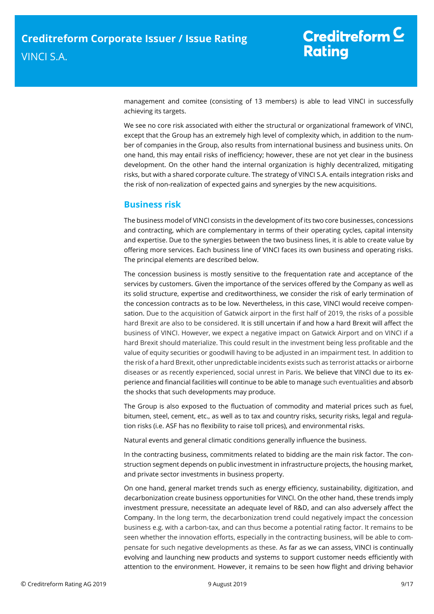management and comitee (consisting of 13 members) is able to lead VINCI in successfully achieving its targets.

We see no core risk associated with either the structural or organizational framework of VINCI, except that the Group has an extremely high level of complexity which, in addition to the number of companies in the Group, also results from international business and business units. On one hand, this may entail risks of inefficiency; however, these are not yet clear in the business development. On the other hand the internal organization is highly decentralized, mitigating risks, but with a shared corporate culture. The strategy of VINCI S.A. entails integration risks and the risk of non-realization of expected gains and synergies by the new acquisitions.

# <span id="page-8-0"></span>**Business risk**

The business model of VINCI consists in the development of its two core businesses, concessions and contracting, which are complementary in terms of their operating cycles, capital intensity and expertise. Due to the synergies between the two business lines, it is able to create value by offering more services. Each business line of VINCI faces its own business and operating risks. The principal elements are described below.

The concession business is mostly sensitive to the frequentation rate and acceptance of the services by customers. Given the importance of the services offered by the Company as well as its solid structure, expertise and creditworthiness, we consider the risk of early termination of the concession contracts as to be low. Nevertheless, in this case, VINCI would receive compensation. Due to the acquisition of Gatwick airport in the first half of 2019, the risks of a possible hard Brexit are also to be considered. It is still uncertain if and how a hard Brexit will affect the business of VINCI. However, we expect a negative impact on Gatwick Airport and on VINCI if a hard Brexit should materialize. This could result in the investment being less profitable and the value of equity securities or goodwill having to be adjusted in an impairment test. In addition to the risk of a hard Brexit, other unpredictable incidents exists such as terrorist attacks or airborne diseases or as recently experienced, social unrest in Paris. We believe that VINCI due to its experience and financial facilities will continue to be able to manage such eventualities and absorb the shocks that such developments may produce.

The Group is also exposed to the fluctuation of commodity and material prices such as fuel, bitumen, steel, cement, etc., as well as to tax and country risks, security risks, legal and regulation risks (i.e. ASF has no flexibility to raise toll prices), and environmental risks.

Natural events and general climatic conditions generally influence the business.

In the contracting business, commitments related to bidding are the main risk factor. The construction segment depends on public investment in infrastructure projects, the housing market, and private sector investments in business property.

On one hand, general market trends such as energy efficiency, sustainability, digitization, and decarbonization create business opportunities for VINCI. On the other hand, these trends imply investment pressure, necessitate an adequate level of R&D, and can also adversely affect the Company. In the long term, the decarbonization trend could negatively impact the concession business e.g. with a carbon-tax, and can thus become a potential rating factor. It remains to be seen whether the innovation efforts, especially in the contracting business, will be able to compensate for such negative developments as these. As far as we can assess, VINCI is continually evolving and launching new products and systems to support customer needs efficiently with attention to the environment. However, it remains to be seen how flight and driving behavior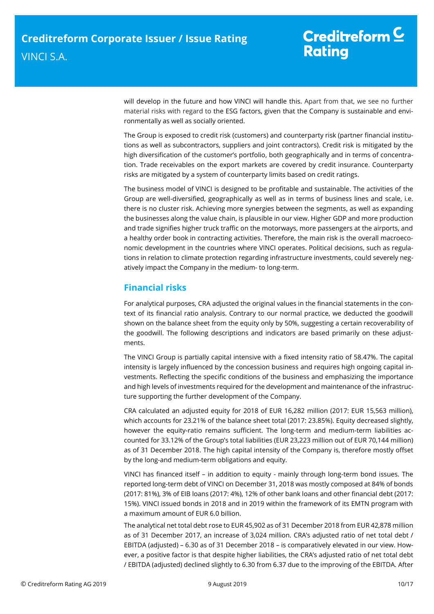will develop in the future and how VINCI will handle this. Apart from that, we see no further material risks with regard to the ESG factors, given that the Company is sustainable and environmentally as well as socially oriented.

<span id="page-9-0"></span>The Group is exposed to credit risk (customers) and counterparty risk (partner financial institutions as well as subcontractors, suppliers and joint contractors). Credit risk is mitigated by the high diversification of the customer's portfolio, both geographically and in terms of concentration. Trade receivables on the export markets are covered by credit insurance. Counterparty risks are mitigated by a system of counterparty limits based on credit ratings.

The business model of VINCI is designed to be profitable and sustainable. The activities of the Group are well-diversified, geographically as well as in terms of business lines and scale, i.e. there is no cluster risk. Achieving more synergies between the segments, as well as expanding the businesses along the value chain, is plausible in our view. Higher GDP and more production and trade signifies higher truck traffic on the motorways, more passengers at the airports, and a healthy order book in contracting activities. Therefore, the main risk is the overall macroeconomic development in the countries where VINCI operates. Political decisions, such as regulations in relation to climate protection regarding infrastructure investments, could severely negatively impact the Company in the medium- to long-term.

# **Financial risks**

For analytical purposes, CRA adjusted the original values in the financial statements in the context of its financial ratio analysis. Contrary to our normal practice, we deducted the goodwill shown on the balance sheet from the equity only by 50%, suggesting a certain recoverability of the goodwill. The following descriptions and indicators are based primarily on these adjustments.

The VINCI Group is partially capital intensive with a fixed intensity ratio of 58.47%. The capital intensity is largely influenced by the concession business and requires high ongoing capital investments. Reflecting the specific conditions of the business and emphasizing the importance and high levels of investments required for the development and maintenance of the infrastructure supporting the further development of the Company.

CRA calculated an adjusted equity for 2018 of EUR 16,282 million (2017: EUR 15,563 million), which accounts for 23.21% of the balance sheet total (2017: 23.85%). Equity decreased slightly, however the equity-ratio remains sufficient. The long-term and medium-term liabilities accounted for 33.12% of the Group's total liabilities (EUR 23,223 million out of EUR 70,144 million) as of 31 December 2018. The high capital intensity of the Company is, therefore mostly offset by the long-and medium-term obligations and equity.

VINCI has financed itself – in addition to equity - mainly through long-term bond issues. The reported long-term debt of VINCI on December 31, 2018 was mostly composed at 84% of bonds (2017: 81%), 3% of EIB loans (2017: 4%), 12% of other bank loans and other financial debt (2017: 15%). VINCI issued bonds in 2018 and in 2019 within the framework of its EMTN program with a maximum amount of EUR 6.0 billion.

The analytical net total debt rose to EUR 45,902 as of 31 December 2018 from EUR 42,878 million as of 31 December 2017, an increase of 3,024 million. CRA's adjusted ratio of net total debt / EBITDA (adjusted) – 6.30 as of 31 December 2018 – is comparatively elevated in our view. However, a positive factor is that despite higher liabilities, the CRA's adjusted ratio of net total debt / EBITDA (adjusted) declined slightly to 6.30 from 6.37 due to the improving of the EBITDA. After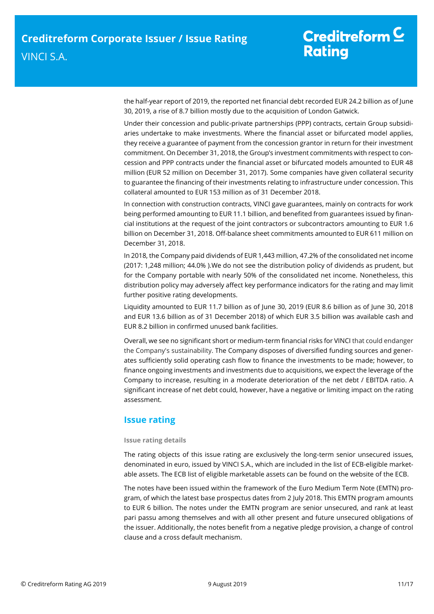# Creditreform  $C$ **Rating**

the half-year report of 2019, the reported net financial debt recorded EUR 24.2 billion as of June 30, 2019, a rise of 8.7 billion mostly due to the acquisition of London Gatwick.

Under their concession and public-private partnerships (PPP) contracts, certain Group subsidiaries undertake to make investments. Where the financial asset or bifurcated model applies, they receive a guarantee of payment from the concession grantor in return for their investment commitment. On December 31, 2018, the Group's investment commitments with respect to concession and PPP contracts under the financial asset or bifurcated models amounted to EUR 48 million (EUR 52 million on December 31, 2017). Some companies have given collateral security to guarantee the financing of their investments relating to infrastructure under concession. This collateral amounted to EUR 153 million as of 31 December 2018.

In connection with construction contracts, VINCI gave guarantees, mainly on contracts for work being performed amounting to EUR 11.1 billion, and benefited from guarantees issued by financial institutions at the request of the joint contractors or subcontractors amounting to EUR 1.6 billion on December 31, 2018. Off-balance sheet commitments amounted to EUR 611 million on December 31, 2018.

In 2018, the Company paid dividends of EUR 1,443 million, 47.2% of the consolidated net income (2017: 1,248 million; 44.0% ).We do not see the distribution policy of dividends as prudent, but for the Company portable with nearly 50% of the consolidated net income. Nonetheless, this distribution policy may adversely affect key performance indicators for the rating and may limit further positive rating developments.

Liquidity amounted to EUR 11.7 billion as of June 30, 2019 (EUR 8.6 billion as of June 30, 2018 and EUR 13.6 billion as of 31 December 2018) of which EUR 3.5 billion was available cash and EUR 8.2 billion in confirmed unused bank facilities.

Overall, we see no significant short or medium-term financial risks for VINCI that could endanger the Company's sustainability. The Company disposes of diversified funding sources and generates sufficiently solid operating cash flow to finance the investments to be made; however, to finance ongoing investments and investments due to acquisitions, we expect the leverage of the Company to increase, resulting in a moderate deterioration of the net debt / EBITDA ratio. A significant increase of net debt could, however, have a negative or limiting impact on the rating assessment.

# <span id="page-10-0"></span>**Issue rating**

## **Issue rating details**

The rating objects of this issue rating are exclusively the long-term senior unsecured issues, denominated in euro, issued by VINCI S.A., which are included in the list of ECB-eligible marketable assets. The ECB list of eligible marketable assets can be found on the website of the ECB.

The notes have been issued within the framework of the Euro Medium Term Note (EMTN) program, of which the latest base prospectus dates from 2 July 2018. This EMTN program amounts to EUR 6 billion. The notes under the EMTN program are senior unsecured, and rank at least pari passu among themselves and with all other present and future unsecured obligations of the issuer. Additionally, the notes benefit from a negative pledge provision, a change of control clause and a cross default mechanism.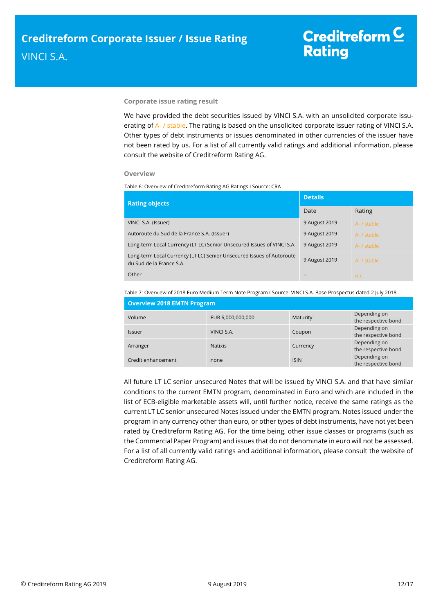## **Corporate issue rating result**

We have provided the debt securities issued by VINCI S.A. with an unsolicited corporate issuerating of A- / stable. The rating is based on the unsolicited corporate issuer rating of VINCI S.A. Other types of debt instruments or issues denominated in other currencies of the issuer have not been rated by us. For a list of all currently valid ratings and additional information, please consult the website of Creditreform Rating AG.

#### **Overview**

Table 6: Overview of Creditreform Rating AG Ratings I Source: CRA

| <b>Rating objects</b>                                                                             | <b>Details</b> |             |  |  |
|---------------------------------------------------------------------------------------------------|----------------|-------------|--|--|
|                                                                                                   | Date           | Rating      |  |  |
| VINCI S.A. (Issuer)                                                                               | 9 August 2019  | A- / stable |  |  |
| Autoroute du Sud de la France S.A. (Issuer)                                                       | 9 August 2019  | A- / stable |  |  |
| Long-term Local Currency (LT LC) Senior Unsecured Issues of VINCI S.A.                            | 9 August 2019  | A- / stable |  |  |
| Long-term Local Currency (LT LC) Senior Unsecured Issues of Autoroute<br>du Sud de la France S.A. | 9 August 2019  | A- / stable |  |  |
| Other                                                                                             |                | n.r.        |  |  |

Table 7: Overview of 2018 Euro Medium Term Note Program I Source: VINCI S.A. Base Prospectus dated 2 July 2018

|                    | Overview 2018 EMTN Program |             |                                     |  |  |  |
|--------------------|----------------------------|-------------|-------------------------------------|--|--|--|
| Volume             | EUR 6,000,000,000          | Maturity    | Depending on<br>the respective bond |  |  |  |
| <b>Issuer</b>      | VINCI S.A.                 | Coupon      | Depending on<br>the respective bond |  |  |  |
| Arranger           | <b>Natixis</b>             | Currency    | Depending on<br>the respective bond |  |  |  |
| Credit enhancement | none                       | <b>ISIN</b> | Depending on<br>the respective bond |  |  |  |

All future LT LC senior unsecured Notes that will be issued by VINCI S.A. and that have similar conditions to the current EMTN program, denominated in Euro and which are included in the list of ECB-eligible marketable assets will, until further notice, receive the same ratings as the current LT LC senior unsecured Notes issued under the EMTN program. Notes issued under the program in any currency other than euro, or other types of debt instruments, have not yet been rated by Creditreform Rating AG. For the time being, other issue classes or programs (such as the Commercial Paper Program) and issues that do not denominate in euro will not be assessed. For a list of all currently valid ratings and additional information, please consult the website of Creditreform Rating AG.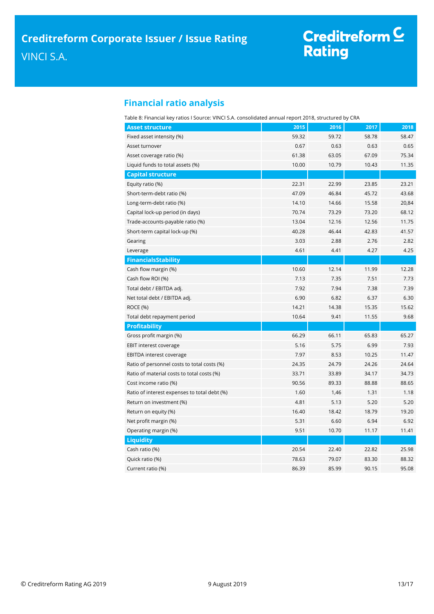# <span id="page-12-0"></span>**Financial ratio analysis**

| <b>Asset structure</b>                       | 2015  | 2016  | 2017  | 2018  |
|----------------------------------------------|-------|-------|-------|-------|
| Fixed asset intensity (%)                    | 59.32 | 59.72 | 58.78 | 58.47 |
| Asset turnover                               | 0.67  | 0.63  | 0.63  | 0.65  |
| Asset coverage ratio (%)                     | 61.38 | 63.05 | 67.09 | 75.34 |
| Liquid funds to total assets (%)             | 10.00 | 10.79 | 10.43 | 11.35 |
| <b>Capital structure</b>                     |       |       |       |       |
| Equity ratio (%)                             | 22.31 | 22.99 | 23.85 | 23.21 |
| Short-term-debt ratio (%)                    | 47.09 | 46.84 | 45.72 | 43.68 |
| Long-term-debt ratio (%)                     | 14.10 | 14.66 | 15.58 | 20,84 |
| Capital lock-up period (in days)             | 70.74 | 73.29 | 73.20 | 68.12 |
| Trade-accounts-payable ratio (%)             | 13.04 | 12.16 | 12.56 | 11.75 |
| Short-term capital lock-up (%)               | 40.28 | 46.44 | 42.83 | 41.57 |
| Gearing                                      | 3.03  | 2.88  | 2.76  | 2.82  |
| Leverage                                     | 4.61  | 4.41  | 4.27  | 4.25  |
| <b>FinancialsStability</b>                   |       |       |       |       |
| Cash flow margin (%)                         | 10.60 | 12.14 | 11.99 | 12.28 |
| Cash flow ROI (%)                            | 7.13  | 7.35  | 7.51  | 7.73  |
| Total debt / EBITDA adj.                     | 7.92  | 7.94  | 7.38  | 7.39  |
| Net total debt / EBITDA adj.                 | 6.90  | 6.82  | 6.37  | 6.30  |
| ROCE (%)                                     | 14.21 | 14.38 | 15.35 | 15.62 |
| Total debt repayment period                  | 10.64 | 9.41  | 11.55 | 9.68  |
| <b>Profitability</b>                         |       |       |       |       |
| Gross profit margin (%)                      | 66.29 | 66.11 | 65.83 | 65.27 |
| <b>EBIT interest coverage</b>                | 5.16  | 5.75  | 6.99  | 7.93  |
| <b>EBITDA</b> interest coverage              | 7.97  | 8.53  | 10.25 | 11.47 |
| Ratio of personnel costs to total costs (%)  | 24.35 | 24.79 | 24.26 | 24.64 |
| Ratio of material costs to total costs (%)   | 33.71 | 33.89 | 34.17 | 34.73 |
| Cost income ratio (%)                        | 90.56 | 89.33 | 88.88 | 88.65 |
| Ratio of interest expenses to total debt (%) | 1.60  | 1,46  | 1.31  | 1.18  |
| Return on investment (%)                     | 4.81  | 5.13  | 5.20  | 5.20  |
| Return on equity (%)                         | 16.40 | 18.42 | 18.79 | 19.20 |
| Net profit margin (%)                        | 5.31  | 6.60  | 6.94  | 6.92  |
| Operating margin (%)                         | 9.51  | 10.70 | 11.17 | 11.41 |
| <b>Liquidity</b>                             |       |       |       |       |
| Cash ratio (%)                               | 20.54 | 22.40 | 22.82 | 25.98 |
| Quick ratio (%)                              | 78.63 | 79.07 | 83.30 | 88.32 |
| Current ratio (%)                            | 86.39 | 85.99 | 90.15 | 95.08 |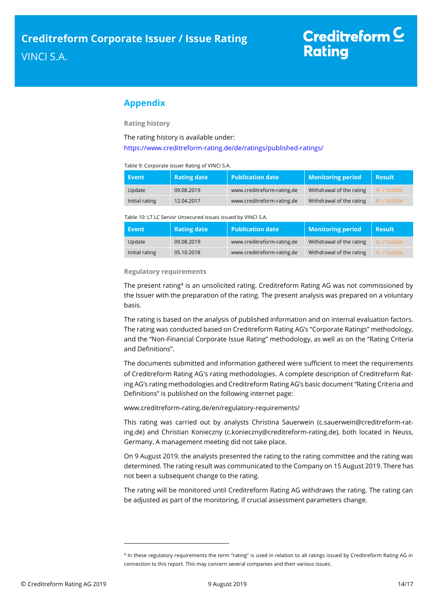# <span id="page-13-0"></span>**Appendix**

**Rating history**

The rating history is available under:

<https://www.creditreform-rating.de/de/ratings/published-ratings/>

Table 9: Corporate issuer Rating of VINCI S.A.

| Event          | <b>Rating date</b> | <b>Publication date</b>    | <b>Monitoring period</b> | <b>Result</b> |
|----------------|--------------------|----------------------------|--------------------------|---------------|
| Update         | 09.08.2019         | www.creditreform-rating.de | Withdrawal of the rating | A- / stable   |
| Initial rating | 12.04.2017         | www.creditreform-rating.de | Withdrawal of the rating | A- / stable   |

#### Table 10: LT LC Senior Unsecured issues issued by VINCI S.A.

| Event          | <b>Rating date</b> | Publication date <b>.</b>  | Monitoring period        | <b>Result</b> |
|----------------|--------------------|----------------------------|--------------------------|---------------|
| Update         | 09.08.2019         | www.creditreform-rating.de | Withdrawal of the rating | A- / stable   |
| Initial rating | 05.10.2018         | www.creditreform-rating.de | Withdrawal of the rating | A- / stable   |

#### **Regulatory requirements**

The present rating<sup>4</sup> is an unsolicited rating. Creditreform Rating AG was not commissioned by the Issuer with the preparation of the rating. The present analysis was prepared on a voluntary basis.

The rating is based on the analysis of published information and on internal evaluation factors. The rating was conducted based on Creditreform Rating AG's "Corporate Ratings" methodology, and the "Non-Financial Corporate Issue Rating" methodology, as well as on the "Rating Criteria and Definitions".

The documents submitted and information gathered were sufficient to meet the requirements of Creditreform Rating AG's rating methodologies. A complete description of Creditreform Rating AG's rating methodologies and Creditreform Rating AG's basic document "Rating Criteria and Definitions" is published on the following internet page:

[www.creditreform-rating.de/](http://www.creditreform-rating.de/)en/regulatory-requirements/

This rating was carried out by analysts Christina Sauerwein (c.sauerwein@creditreform-rating.de) and Christian Konieczny (c.konieczny@creditreform-rating.de), both located in Neuss, Germany. A management meeting did not take place.

On 9 August 2019, the analysts presented the rating to the rating committee and the rating was determined. The rating result was communicated to the Company on 15 August 2019. There has not been a subsequent change to the rating.

The rating will be monitored until Creditreform Rating AG withdraws the rating. The rating can be adjusted as part of the monitoring, if crucial assessment parameters change.

<sup>4</sup> In these regulatory requirements the term "rating" is used in relation to all ratings issued by Creditreform Rating AG in connection to this report. This may concern several companies and their various issues.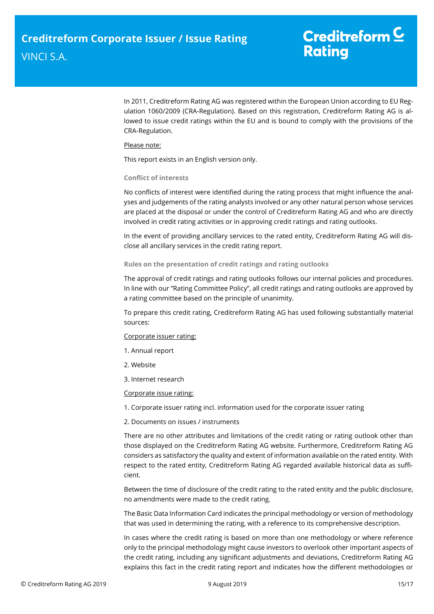In 2011, Creditreform Rating AG was registered within the European Union according to EU Regulation 1060/2009 (CRA-Regulation). Based on this registration, Creditreform Rating AG is allowed to issue credit ratings within the EU and is bound to comply with the provisions of the CRA-Regulation.

## Please note:

This report exists in an English version only.

## **Conflict of interests**

No conflicts of interest were identified during the rating process that might influence the analyses and judgements of the rating analysts involved or any other natural person whose services are placed at the disposal or under the control of Creditreform Rating AG and who are directly involved in credit rating activities or in approving credit ratings and rating outlooks.

In the event of providing ancillary services to the rated entity, Creditreform Rating AG will disclose all ancillary services in the credit rating report.

## **Rules on the presentation of credit ratings and rating outlooks**

The approval of credit ratings and rating outlooks follows our internal policies and procedures. In line with our "Rating Committee Policy", all credit ratings and rating outlooks are approved by a rating committee based on the principle of unanimity.

To prepare this credit rating, Creditreform Rating AG has used following substantially material sources:

## Corporate issuer rating:

- 1. Annual report
- 2. Website
- 3. Internet research

## Corporate issue rating:

1. Corporate issuer rating incl. information used for the corporate issuer rating

2. Documents on issues / instruments

There are no other attributes and limitations of the credit rating or rating outlook other than those displayed on the Creditreform Rating AG website. Furthermore, Creditreform Rating AG considers as satisfactory the quality and extent of information available on the rated entity. With respect to the rated entity, Creditreform Rating AG regarded available historical data as sufficient.

Between the time of disclosure of the credit rating to the rated entity and the public disclosure, no amendments were made to the credit rating.

The Basic Data Information Card indicates the principal methodology or version of methodology that was used in determining the rating, with a reference to its comprehensive description.

In cases where the credit rating is based on more than one methodology or where reference only to the principal methodology might cause investors to overlook other important aspects of the credit rating, including any significant adjustments and deviations, Creditreform Rating AG explains this fact in the credit rating report and indicates how the different methodologies or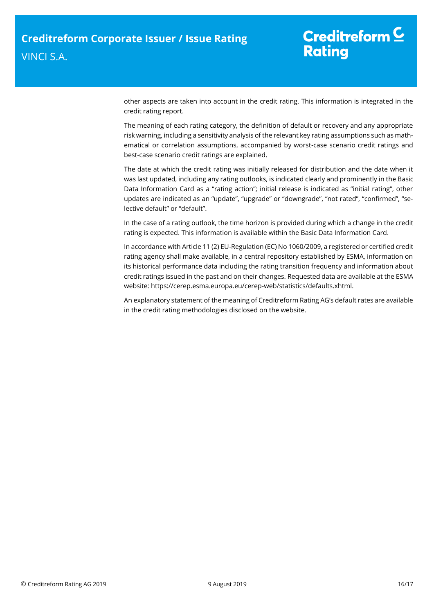# Creditreform  $\underline{\mathsf{C}}$ **Rating**

other aspects are taken into account in the credit rating. This information is integrated in the credit rating report.

The meaning of each rating category, the definition of default or recovery and any appropriate risk warning, including a sensitivity analysis of the relevant key rating assumptions such as mathematical or correlation assumptions, accompanied by worst-case scenario credit ratings and best-case scenario credit ratings are explained.

The date at which the credit rating was initially released for distribution and the date when it was last updated, including any rating outlooks, is indicated clearly and prominently in the Basic Data Information Card as a "rating action"; initial release is indicated as "initial rating", other updates are indicated as an "update", "upgrade" or "downgrade", "not rated", "confirmed", "selective default" or "default".

In the case of a rating outlook, the time horizon is provided during which a change in the credit rating is expected. This information is available within the Basic Data Information Card.

In accordance with Article 11 (2) EU-Regulation (EC) No 1060/2009, a registered or certified credit rating agency shall make available, in a central repository established by ESMA, information on its historical performance data including the rating transition frequency and information about credit ratings issued in the past and on their changes. Requested data are available at the ESMA website: https://cerep.esma.europa.eu/cerep-web/statistics/defaults.xhtml.

An explanatory statement of the meaning of Creditreform Rating AG's default rates are available in the credit rating methodologies disclosed on the website.